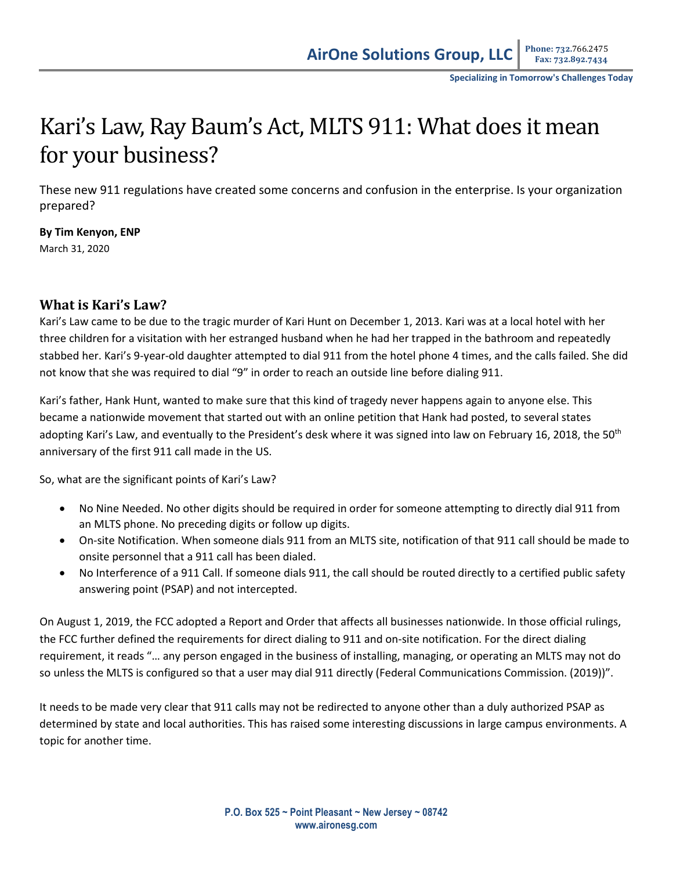# Kari's Law, Ray Baum's Act, MLTS 911: What does it mean for your business?

These new 911 regulations have created some concerns and confusion in the enterprise. Is your organization prepared?

**By Tim Kenyon, ENP** March 31, 2020

# **What is Kari's Law?**

Kari's Law came to be due to the tragic murder of Kari Hunt on December 1, 2013. Kari was at a local hotel with her three children for a visitation with her estranged husband when he had her trapped in the bathroom and repeatedly stabbed her. Kari's 9-year-old daughter attempted to dial 911 from the hotel phone 4 times, and the calls failed. She did not know that she was required to dial "9" in order to reach an outside line before dialing 911.

Kari's father, Hank Hunt, wanted to make sure that this kind of tragedy never happens again to anyone else. This became a nationwide movement that started out with an online petition that Hank had posted, to several states adopting Kari's Law, and eventually to the President's desk where it was signed into law on February 16, 2018, the 50<sup>th</sup> anniversary of the first 911 call made in the US.

So, what are the significant points of Kari's Law?

- No Nine Needed. No other digits should be required in order for someone attempting to directly dial 911 from an MLTS phone. No preceding digits or follow up digits.
- On-site Notification. When someone dials 911 from an MLTS site, notification of that 911 call should be made to onsite personnel that a 911 call has been dialed.
- No Interference of a 911 Call. If someone dials 911, the call should be routed directly to a certified public safety answering point (PSAP) and not intercepted.

On August 1, 2019, the FCC adopted a Report and Order that affects all businesses nationwide. In those official rulings, the FCC further defined the requirements for direct dialing to 911 and on-site notification. For the direct dialing requirement, it reads "… any person engaged in the business of installing, managing, or operating an MLTS may not do so unless the MLTS is configured so that a user may dial 911 directly (Federal Communications Commission. (2019))".

It needs to be made very clear that 911 calls may not be redirected to anyone other than a duly authorized PSAP as determined by state and local authorities. This has raised some interesting discussions in large campus environments. A topic for another time.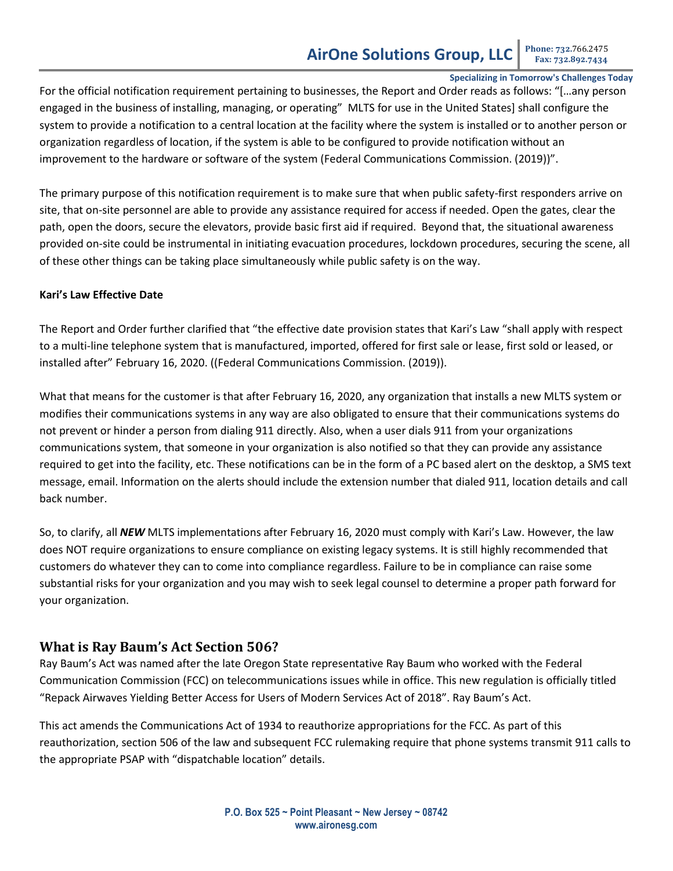#### **Specializing in Tomorrow's Challenges Today**

For the official notification requirement pertaining to businesses, the Report and Order reads as follows: "[…any person engaged in the business of installing, managing, or operating" MLTS for use in the United States] shall configure the system to provide a notification to a central location at the facility where the system is installed or to another person or organization regardless of location, if the system is able to be configured to provide notification without an improvement to the hardware or software of the system (Federal Communications Commission. (2019))".

The primary purpose of this notification requirement is to make sure that when public safety-first responders arrive on site, that on-site personnel are able to provide any assistance required for access if needed. Open the gates, clear the path, open the doors, secure the elevators, provide basic first aid if required. Beyond that, the situational awareness provided on-site could be instrumental in initiating evacuation procedures, lockdown procedures, securing the scene, all of these other things can be taking place simultaneously while public safety is on the way.

## **Kari's Law Effective Date**

The Report and Order further clarified that "the effective date provision states that Kari's Law "shall apply with respect to a multi-line telephone system that is manufactured, imported, offered for first sale or lease, first sold or leased, or installed after" February 16, 2020. ((Federal Communications Commission. (2019)).

What that means for the customer is that after February 16, 2020, any organization that installs a new MLTS system or modifies their communications systems in any way are also obligated to ensure that their communications systems do not prevent or hinder a person from dialing 911 directly. Also, when a user dials 911 from your organizations communications system, that someone in your organization is also notified so that they can provide any assistance required to get into the facility, etc. These notifications can be in the form of a PC based alert on the desktop, a SMS text message, email. Information on the alerts should include the extension number that dialed 911, location details and call back number.

So, to clarify, all *NEW* MLTS implementations after February 16, 2020 must comply with Kari's Law. However, the law does NOT require organizations to ensure compliance on existing legacy systems. It is still highly recommended that customers do whatever they can to come into compliance regardless. Failure to be in compliance can raise some substantial risks for your organization and you may wish to seek legal counsel to determine a proper path forward for your organization.

# **What is Ray Baum's Act Section 506?**

Ray Baum's Act was named after the late Oregon State representative Ray Baum who worked with the Federal Communication Commission (FCC) on telecommunications issues while in office. This new regulation is officially titled "Repack Airwaves Yielding Better Access for Users of Modern Services Act of 2018". Ray Baum's Act.

This act amends the Communications Act of 1934 to reauthorize appropriations for the FCC. As part of this reauthorization, section 506 of the law and subsequent FCC rulemaking require that phone systems transmit 911 calls to the appropriate PSAP with "dispatchable location" details.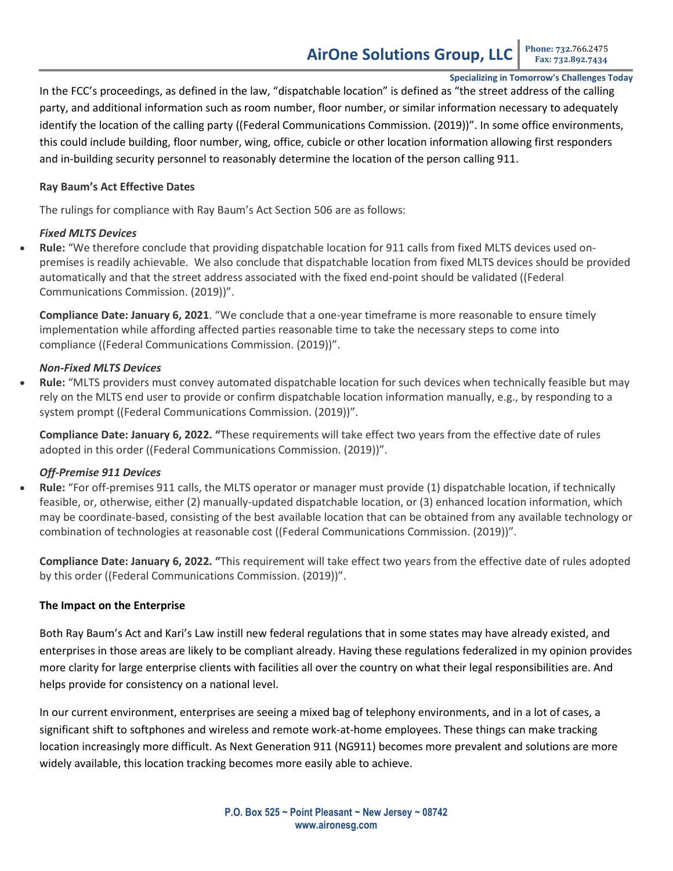#### **Specializing in Tomorrow's Challenges Today**

In the FCC's proceedings, as defined in the law, "dispatchable location" is defined as "the street address of the calling party, and additional information such as room number, floor number, or similar information necessary to adequately identify the location of the calling party ((Federal Communications Commission. (2019))". In some office environments, this could include building, floor number, wing, office, cubicle or other location information allowing first responders and in-building security personnel to reasonably determine the location of the person calling 911.

#### **Ray Baum's Act Effective Dates**

The rulings for compliance with Ray Baum's Act Section 506 are as follows:

#### *Fixed MLTS Devices*

• **Rule:** "We therefore conclude that providing dispatchable location for 911 calls from fixed MLTS devices used onpremises is readily achievable. We also conclude that dispatchable location from fixed MLTS devices should be provided automatically and that the street address associated with the fixed end-point should be validated ((Federal Communications Commission. (2019))".

**Compliance Date: January 6, 2021**. "We conclude that a one-year timeframe is more reasonable to ensure timely implementation while affording affected parties reasonable time to take the necessary steps to come into compliance ((Federal Communications Commission. (2019))".

#### *Non-Fixed MLTS Devices*

• **Rule:** "MLTS providers must convey automated dispatchable location for such devices when technically feasible but may rely on the MLTS end user to provide or confirm dispatchable location information manually, e.g., by responding to a system prompt ((Federal Communications Commission. (2019))".

**Compliance Date: January 6, 2022. "**These requirements will take effect two years from the effective date of rules adopted in this order ((Federal Communications Commission. (2019))".

#### *Off-Premise 911 Devices*

• **Rule:** "For off-premises 911 calls, the MLTS operator or manager must provide (1) dispatchable location, if technically feasible, or, otherwise, either (2) manually-updated dispatchable location, or (3) enhanced location information, which may be coordinate-based, consisting of the best available location that can be obtained from any available technology or combination of technologies at reasonable cost ((Federal Communications Commission. (2019))".

**Compliance Date: January 6, 2022. "**This requirement will take effect two years from the effective date of rules adopted by this order ((Federal Communications Commission. (2019))".

## **The Impact on the Enterprise**

Both Ray Baum's Act and Kari's Law instill new federal regulations that in some states may have already existed, and enterprises in those areas are likely to be compliant already. Having these regulations federalized in my opinion provides more clarity for large enterprise clients with facilities all over the country on what their legal responsibilities are. And helps provide for consistency on a national level.

In our current environment, enterprises are seeing a mixed bag of telephony environments, and in a lot of cases, a significant shift to softphones and wireless and remote work-at-home employees. These things can make tracking location increasingly more difficult. As Next Generation 911 (NG911) becomes more prevalent and solutions are more widely available, this location tracking becomes more easily able to achieve.